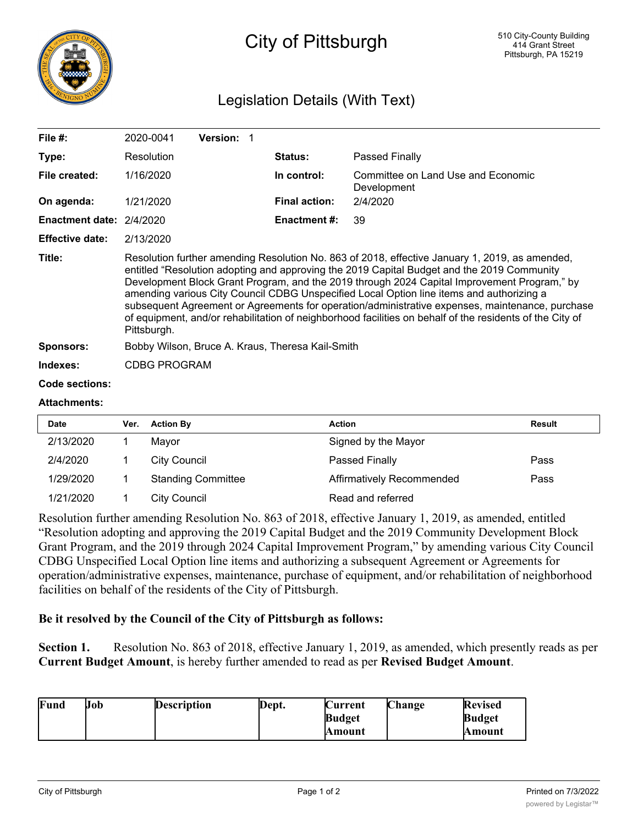

## City of Pittsburgh

## Legislation Details (With Text)

| File $#$ :                      | 2020-0041                                                                                                                                                                                                                                                                                                                                                                                                                                                                                                                                                                                                             | <b>Version:</b> |                      |                                                   |  |
|---------------------------------|-----------------------------------------------------------------------------------------------------------------------------------------------------------------------------------------------------------------------------------------------------------------------------------------------------------------------------------------------------------------------------------------------------------------------------------------------------------------------------------------------------------------------------------------------------------------------------------------------------------------------|-----------------|----------------------|---------------------------------------------------|--|
| Type:                           | Resolution                                                                                                                                                                                                                                                                                                                                                                                                                                                                                                                                                                                                            |                 | <b>Status:</b>       | Passed Finally                                    |  |
| File created:                   | 1/16/2020                                                                                                                                                                                                                                                                                                                                                                                                                                                                                                                                                                                                             |                 | In control:          | Committee on Land Use and Economic<br>Development |  |
| On agenda:                      | 1/21/2020                                                                                                                                                                                                                                                                                                                                                                                                                                                                                                                                                                                                             |                 | <b>Final action:</b> | 2/4/2020                                          |  |
| <b>Enactment date: 2/4/2020</b> |                                                                                                                                                                                                                                                                                                                                                                                                                                                                                                                                                                                                                       |                 | <b>Enactment #:</b>  | 39                                                |  |
| <b>Effective date:</b>          | 2/13/2020                                                                                                                                                                                                                                                                                                                                                                                                                                                                                                                                                                                                             |                 |                      |                                                   |  |
| Title:                          | Resolution further amending Resolution No. 863 of 2018, effective January 1, 2019, as amended,<br>entitled "Resolution adopting and approving the 2019 Capital Budget and the 2019 Community<br>Development Block Grant Program, and the 2019 through 2024 Capital Improvement Program," by<br>amending various City Council CDBG Unspecified Local Option line items and authorizing a<br>subsequent Agreement or Agreements for operation/administrative expenses, maintenance, purchase<br>of equipment, and/or rehabilitation of neighborhood facilities on behalf of the residents of the City of<br>Pittsburgh. |                 |                      |                                                   |  |
| <b>Sponsors:</b>                | Bobby Wilson, Bruce A. Kraus, Theresa Kail-Smith                                                                                                                                                                                                                                                                                                                                                                                                                                                                                                                                                                      |                 |                      |                                                   |  |
| Indexes:                        | <b>CDBG PROGRAM</b>                                                                                                                                                                                                                                                                                                                                                                                                                                                                                                                                                                                                   |                 |                      |                                                   |  |
| <b>Code sections:</b>           |                                                                                                                                                                                                                                                                                                                                                                                                                                                                                                                                                                                                                       |                 |                      |                                                   |  |
| A 44 - - L --- - -- 4 - -       |                                                                                                                                                                                                                                                                                                                                                                                                                                                                                                                                                                                                                       |                 |                      |                                                   |  |

## **Attachments:**

| <b>Date</b> | Ver. | <b>Action By</b>          | <b>Action</b>             | <b>Result</b> |
|-------------|------|---------------------------|---------------------------|---------------|
| 2/13/2020   |      | Mayor                     | Signed by the Mayor       |               |
| 2/4/2020    |      | City Council              | Passed Finally            | Pass          |
| 1/29/2020   |      | <b>Standing Committee</b> | Affirmatively Recommended | Pass          |
| 1/21/2020   |      | City Council              | Read and referred         |               |

Resolution further amending Resolution No. 863 of 2018, effective January 1, 2019, as amended, entitled "Resolution adopting and approving the 2019 Capital Budget and the 2019 Community Development Block Grant Program, and the 2019 through 2024 Capital Improvement Program," by amending various City Council CDBG Unspecified Local Option line items and authorizing a subsequent Agreement or Agreements for operation/administrative expenses, maintenance, purchase of equipment, and/or rehabilitation of neighborhood facilities on behalf of the residents of the City of Pittsburgh.

## **Be it resolved by the Council of the City of Pittsburgh as follows:**

**Section 1.** Resolution No. 863 of 2018, effective January 1, 2019, as amended, which presently reads as per **Current Budget Amount**, is hereby further amended to read as per **Revised Budget Amount**.

| Fund | <b>Job</b> | <b>Description</b> | Dept. | Current       | Change | <b>Revised</b> |
|------|------------|--------------------|-------|---------------|--------|----------------|
|      |            |                    |       | <b>Budget</b> |        | <b>Budget</b>  |
|      |            |                    |       | Amount        |        | Amount         |